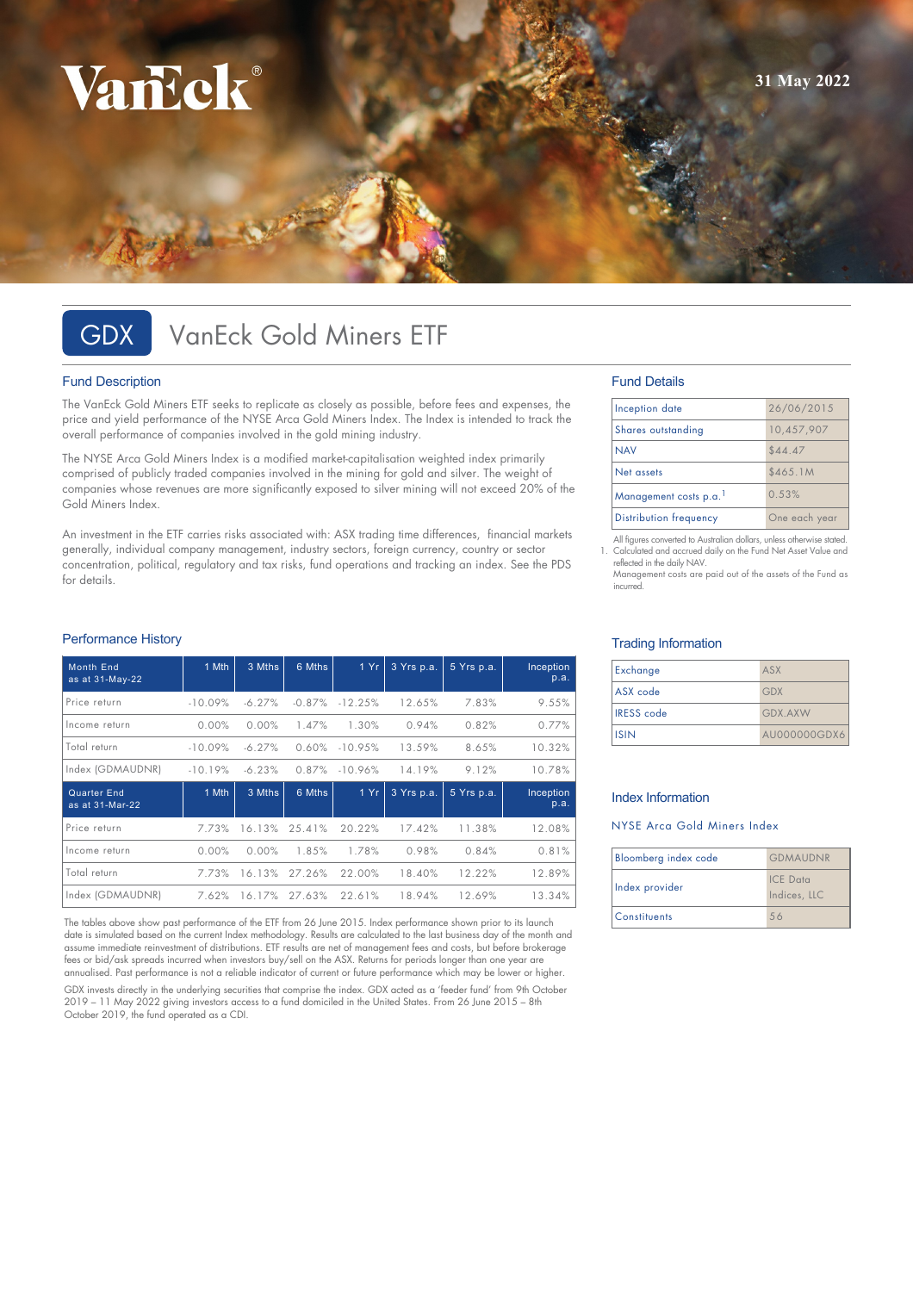# VarEck®

# GDX VanEck Gold Miners ETF

### Fund Description

The VanEck Gold Miners ETF seeks to replicate as closely as possible, before fees and expenses, the price and yield performance of the NYSE Arca Gold Miners Index. The Index is intended to track the overall performance of companies involved in the gold mining industry.

The NYSE Arca Gold Miners Index is a modified market-capitalisation weighted index primarily comprised of publicly traded companies involved in the mining for gold and silver. The weight of companies whose revenues are more significantly exposed to silver mining will not exceed 20% of the Gold Miners Index.

An investment in the ETF carries risks associated with: ASX trading time differences, financial markets generally, individual company management, industry sectors, foreign currency, country or sector concentration, political, regulatory and tax risks, fund operations and tracking an index. See the PDS for details.

### Performance History

| <b>Month End</b><br>as at 31-May-22 | 1 Mth     | 3 Mths   | 6 Mths   | 1Yr       | 3 Yrs p.a. | 5 Yrs p.a. | Inception<br>p.a. |
|-------------------------------------|-----------|----------|----------|-----------|------------|------------|-------------------|
|                                     |           |          |          |           |            |            |                   |
| Price return                        | $-10.09%$ | $-6.27%$ | $-0.87%$ | $-12.25%$ | 12.65%     | 7.83%      | 9.55%             |
| Income return                       | 0.00%     | 0.00%    | 1.47%    | 1.30%     | 0.94%      | 0.82%      | 0.77%             |
| Total return                        | $-10.09%$ | $-6.27%$ | 0.60%    | $-10.95%$ | 13.59%     | 8.65%      | 10.32%            |
| Index (GDMAUDNR)                    | $-10.19%$ | $-6.23%$ | 0.87%    | $-10.96%$ | 14.19%     | 9.12%      | 10.78%            |
| Quarter End<br>as at 31-Mar-22      | 1 Mth     | 3 Mths   | 6 Mths   | 1 Yr      | 3 Yrs p.a. | 5 Yrs p.a. | Inception<br>p.a. |
| Price return                        | 7.73%     | 16.13%   | 25.41%   | 20.22%    | 17.42%     | 11.38%     | 12.08%            |
| Income return                       | 0.00%     | 0.00%    | 1.85%    | 1.78%     | 0.98%      | 0.84%      | 0.81%             |
| Total return                        | 7.73%     | 16.13%   | 27.26%   | 22.00%    | 18.40%     | 12.22%     | 12.89%            |
| Index (GDMAUDNR)                    | 7.62%     | 16.17%   | 27.63%   | 22.61%    | 18.94%     | 12.69%     | 13.34%            |

The tables above show past performance of the ETF from 26 June 2015. Index performance shown prior to its launch date is simulated based on the current Index methodology. Results are calculated to the last business day of the month and assume immediate reinvestment of distributions. ETF results are net of management fees and costs, but before brokerage fees or bid/ask spreads incurred when investors buy/sell on the ASX. Returns for periods longer than one year are annualised. Past performance is not a reliable indicator of current or future performance which may be lower or higher. GDX invests directly in the underlying securities that comprise the index. GDX acted as a 'feeder fund' from 9th October 2019 – 11 May 2022 giving investors access to a fund domiciled in the United States. From 26 June 2015 – 8th October 2019, the fund operated as a CDI.

### Fund Details

| Inception date                | 26/06/2015    |  |
|-------------------------------|---------------|--|
| Shares outstanding            | 10,457,907    |  |
| <b>NAV</b>                    | \$44.47       |  |
| Net assets                    | \$465.1M      |  |
| Management costs p.a.         | 0.53%         |  |
| <b>Distribution frequency</b> | One each year |  |

All figures converted to Australian dollars, unless otherwise stated. 1. Calculated and accrued daily on the Fund Net Asset Value and reflected in the daily NAV.

Management costs are paid out of the assets of the Fund as incurred.

### Trading Information

| Exchange          | ASX            |
|-------------------|----------------|
| ASX code          | <b>GDX</b>     |
| <b>IRESS</b> code | <b>GDX.AXW</b> |
| <b>ISIN</b>       | AU000000GDX6   |

### Index Information

### NYSE Arca Gold Miners Index

| Bloomberg index code | <b>GDMAUDNR</b>                 |  |
|----------------------|---------------------------------|--|
| Index provider       | <b>ICE</b> Data<br>Indices, LLC |  |
| <b>Constituents</b>  | 56                              |  |